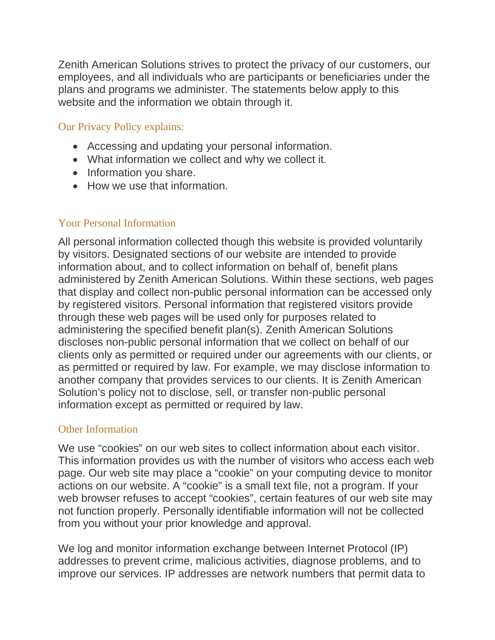Zenith American Solutions strives to protect the privacy of our customers, our employees, and all individuals who are participants or beneficiaries under the plans and programs we administer. The statements below apply to this website and the information we obtain through it.

## Our Privacy Policy explains:

- Accessing and updating your personal information.
- What information we collect and why we collect it.
- Information you share.
- How we use that information.

## Your Personal Information

All personal information collected though this website is provided voluntarily by visitors. Designated sections of our website are intended to provide information about, and to collect information on behalf of, benefit plans administered by Zenith American Solutions. Within these sections, web pages that display and collect non-public personal information can be accessed only by registered visitors. Personal information that registered visitors provide through these web pages will be used only for purposes related to administering the specified benefit plan(s). Zenith American Solutions discloses non-public personal information that we collect on behalf of our clients only as permitted or required under our agreements with our clients, or as permitted or required by law. For example, we may disclose information to another company that provides services to our clients. It is Zenith American Solution's policy not to disclose, sell, or transfer non-public personal information except as permitted or required by law.

## Other Information

We use "cookies" on our web sites to collect information about each visitor. This information provides us with the number of visitors who access each web page. Our web site may place a "cookie" on your computing device to monitor actions on our website. A "cookie" is a small text file, not a program. If your web browser refuses to accept "cookies", certain features of our web site may not function properly. Personally identifiable information will not be collected from you without your prior knowledge and approval.

We log and monitor information exchange between Internet Protocol (IP) addresses to prevent crime, malicious activities, diagnose problems, and to improve our services. IP addresses are network numbers that permit data to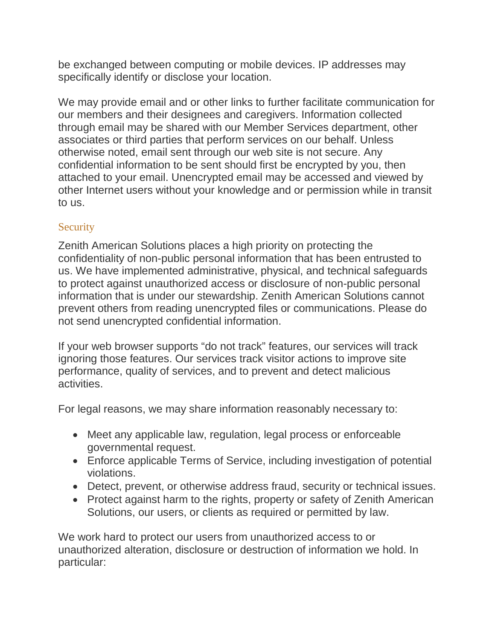be exchanged between computing or mobile devices. IP addresses may specifically identify or disclose your location.

We may provide email and or other links to further facilitate communication for our members and their designees and caregivers. Information collected through email may be shared with our Member Services department, other associates or third parties that perform services on our behalf. Unless otherwise noted, email sent through our web site is not secure. Any confidential information to be sent should first be encrypted by you, then attached to your email. Unencrypted email may be accessed and viewed by other Internet users without your knowledge and or permission while in transit to us.

# **Security**

Zenith American Solutions places a high priority on protecting the confidentiality of non-public personal information that has been entrusted to us. We have implemented administrative, physical, and technical safeguards to protect against unauthorized access or disclosure of non-public personal information that is under our stewardship. Zenith American Solutions cannot prevent others from reading unencrypted files or communications. Please do not send unencrypted confidential information.

If your web browser supports "do not track" features, our services will track ignoring those features. Our services track visitor actions to improve site performance, quality of services, and to prevent and detect malicious activities.

For legal reasons, we may share information reasonably necessary to:

- Meet any applicable law, regulation, legal process or enforceable governmental request.
- Enforce applicable Terms of Service, including investigation of potential violations.
- Detect, prevent, or otherwise address fraud, security or technical issues.
- Protect against harm to the rights, property or safety of Zenith American Solutions, our users, or clients as required or permitted by law.

We work hard to protect our users from unauthorized access to or unauthorized alteration, disclosure or destruction of information we hold. In particular: